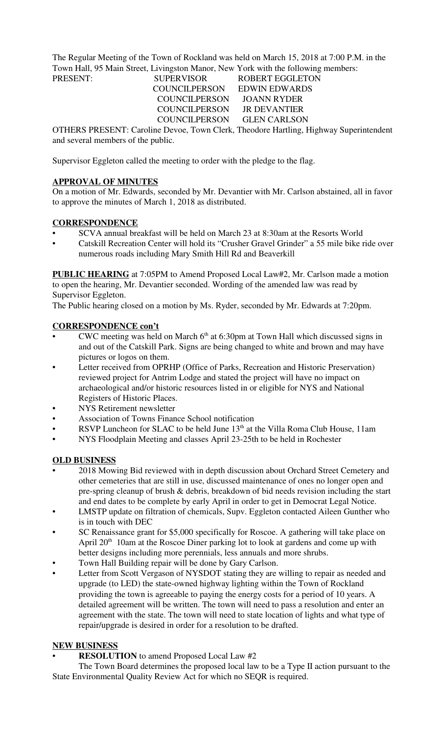The Regular Meeting of the Town of Rockland was held on March 15, 2018 at 7:00 P.M. in the Town Hall, 95 Main Street, Livingston Manor, New York with the following members:

PRESENT: SUPERVISOR ROBERT EGGLETON COUNCILPERSON EDWIN EDWARDS COUNCILPERSON JOANN RYDER COUNCILPERSON JR DEVANTIER COUNCILPERSON GLEN CARLSON

OTHERS PRESENT: Caroline Devoe, Town Clerk, Theodore Hartling, Highway Superintendent and several members of the public.

Supervisor Eggleton called the meeting to order with the pledge to the flag.

## **APPROVAL OF MINUTES**

On a motion of Mr. Edwards, seconded by Mr. Devantier with Mr. Carlson abstained, all in favor to approve the minutes of March 1, 2018 as distributed.

## **CORRESPONDENCE**

- SCVA annual breakfast will be held on March 23 at 8:30am at the Resorts World
- Catskill Recreation Center will hold its "Crusher Gravel Grinder" a 55 mile bike ride over numerous roads including Mary Smith Hill Rd and Beaverkill

**PUBLIC HEARING** at 7:05PM to Amend Proposed Local Law#2, Mr. Carlson made a motion to open the hearing, Mr. Devantier seconded. Wording of the amended law was read by Supervisor Eggleton.

The Public hearing closed on a motion by Ms. Ryder, seconded by Mr. Edwards at 7:20pm.

## **CORRESPONDENCE con't**

- CWC meeting was held on March  $6<sup>th</sup>$  at 6:30pm at Town Hall which discussed signs in and out of the Catskill Park. Signs are being changed to white and brown and may have pictures or logos on them.
- Letter received from OPRHP (Office of Parks, Recreation and Historic Preservation) reviewed project for Antrim Lodge and stated the project will have no impact on archaeological and/or historic resources listed in or eligible for NYS and National Registers of Historic Places.
- NYS Retirement newsletter
- Association of Towns Finance School notification
- RSVP Luncheon for SLAC to be held June  $13<sup>th</sup>$  at the Villa Roma Club House, 11am
- NYS Floodplain Meeting and classes April 23-25th to be held in Rochester

### **OLD BUSINESS**

- 2018 Mowing Bid reviewed with in depth discussion about Orchard Street Cemetery and other cemeteries that are still in use, discussed maintenance of ones no longer open and pre-spring cleanup of brush & debris, breakdown of bid needs revision including the start and end dates to be complete by early April in order to get in Democrat Legal Notice.
- LMSTP update on filtration of chemicals, Supv. Eggleton contacted Aileen Gunther who is in touch with DEC
- SC Renaissance grant for \$5,000 specifically for Roscoe. A gathering will take place on April 20<sup>th</sup> 10am at the Roscoe Diner parking lot to look at gardens and come up with better designs including more perennials, less annuals and more shrubs.
- Town Hall Building repair will be done by Gary Carlson.
- Letter from Scott Vergason of NYSDOT stating they are willing to repair as needed and upgrade (to LED) the state-owned highway lighting within the Town of Rockland providing the town is agreeable to paying the energy costs for a period of 10 years. A detailed agreement will be written. The town will need to pass a resolution and enter an agreement with the state. The town will need to state location of lights and what type of repair/upgrade is desired in order for a resolution to be drafted.

# **NEW BUSINESS**

• **RESOLUTION** to amend Proposed Local Law #2

The Town Board determines the proposed local law to be a Type II action pursuant to the State Environmental Quality Review Act for which no SEQR is required.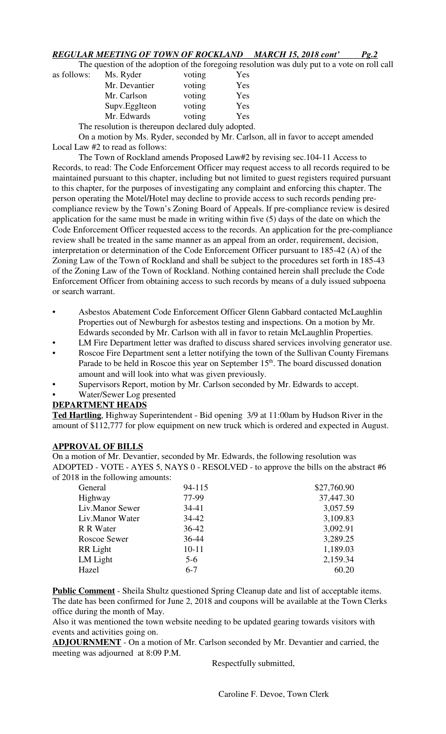## *REGULAR MEETING OF TOWN OF ROCKLAND MARCH 15, 2018 cont' Pg.2*

The question of the adoption of the foregoing resolution was duly put to a vote on roll call

| as follows: | Ms. Ryder                                          | voting | Yes |
|-------------|----------------------------------------------------|--------|-----|
|             | Mr. Devantier                                      | voting | Yes |
|             | Mr. Carlson                                        | voting | Yes |
|             | Supv.Egglteon                                      | voting | Yes |
|             | Mr. Edwards                                        | voting | Yes |
|             | The resolution is thereupon declared duly adopted. |        |     |

On a motion by Ms. Ryder, seconded by Mr. Carlson, all in favor to accept amended Local Law #2 to read as follows:

The Town of Rockland amends Proposed Law#2 by revising sec.104-11 Access to Records, to read: The Code Enforcement Officer may request access to all records required to be maintained pursuant to this chapter, including but not limited to guest registers required pursuant to this chapter, for the purposes of investigating any complaint and enforcing this chapter. The person operating the Motel/Hotel may decline to provide access to such records pending precompliance review by the Town's Zoning Board of Appeals. If pre-compliance review is desired application for the same must be made in writing within five (5) days of the date on which the Code Enforcement Officer requested access to the records. An application for the pre-compliance review shall be treated in the same manner as an appeal from an order, requirement, decision, interpretation or determination of the Code Enforcement Officer pursuant to 185-42 (A) of the Zoning Law of the Town of Rockland and shall be subject to the procedures set forth in 185-43 of the Zoning Law of the Town of Rockland. Nothing contained herein shall preclude the Code Enforcement Officer from obtaining access to such records by means of a duly issued subpoena or search warrant.

- Asbestos Abatement Code Enforcement Officer Glenn Gabbard contacted McLaughlin Properties out of Newburgh for asbestos testing and inspections. On a motion by Mr. Edwards seconded by Mr. Carlson with all in favor to retain McLaughlin Properties.
- LM Fire Department letter was drafted to discuss shared services involving generator use.
- Roscoe Fire Department sent a letter notifying the town of the Sullivan County Firemans Parade to be held in Roscoe this year on September 15<sup>th</sup>. The board discussed donation amount and will look into what was given previously.
- Supervisors Report, motion by Mr. Carlson seconded by Mr. Edwards to accept.
- Water/Sewer Log presented

### **DEPARTMENT HEADS**

**Ted Hartling**, Highway Superintendent - Bid opening 3/9 at 11:00am by Hudson River in the amount of \$112,777 for plow equipment on new truck which is ordered and expected in August.

### **APPROVAL OF BILLS**

On a motion of Mr. Devantier, seconded by Mr. Edwards, the following resolution was ADOPTED - VOTE - AYES 5, NAYS 0 - RESOLVED - to approve the bills on the abstract #6 of 2018 in the following amounts:

| General         | 94-115    | \$27,760.90 |
|-----------------|-----------|-------------|
| Highway         | 77-99     | 37,447.30   |
| Liv.Manor Sewer | $34 - 41$ | 3,057.59    |
| Liv.Manor Water | $34 - 42$ | 3,109.83    |
| R R Water       | $36 - 42$ | 3,092.91    |
| Roscoe Sewer    | $36 - 44$ | 3,289.25    |
| RR Light        | $10 - 11$ | 1,189.03    |
| LM Light        | $5-6$     | 2,159.34    |
| Hazel           | $6 - 7$   | 60.20       |

**Public Comment** - Sheila Shultz questioned Spring Cleanup date and list of acceptable items. The date has been confirmed for June 2, 2018 and coupons will be available at the Town Clerks office during the month of May.

Also it was mentioned the town website needing to be updated gearing towards visitors with events and activities going on.

**ADJOURNMENT** - On a motion of Mr. Carlson seconded by Mr. Devantier and carried, the meeting was adjourned at 8:09 P.M.

Respectfully submitted,